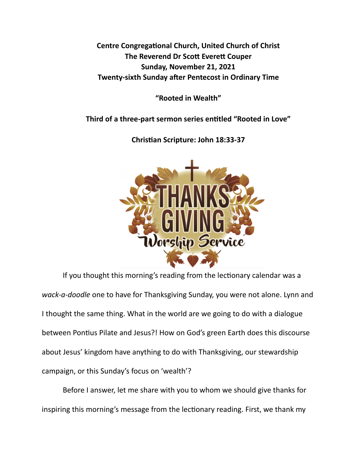**Centre Congregational Church, United Church of Christ The Reverend Dr Scott Everett Couper Sunday, November 21, 2021 Twenty-sixth Sunday after Pentecost in Ordinary Time** 

**"Rooted in Wealth"** 

Third of a three-part sermon series entitled "Rooted in Love"



**Chris\*an Scripture: John 18:33-37** 

If you thought this morning's reading from the lectionary calendar was a *wack-a-doodle* one to have for Thanksgiving Sunday, you were not alone. Lynn and I thought the same thing. What in the world are we going to do with a dialogue between Pontius Pilate and Jesus?! How on God's green Earth does this discourse about Jesus' kingdom have anything to do with Thanksgiving, our stewardship campaign, or this Sunday's focus on 'wealth'?

 Before I answer, let me share with you to whom we should give thanks for inspiring this morning's message from the lectionary reading. First, we thank my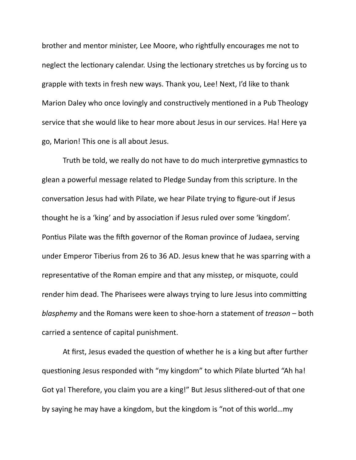brother and mentor minister, Lee Moore, who rightfully encourages me not to neglect the lectionary calendar. Using the lectionary stretches us by forcing us to grapple with texts in fresh new ways. Thank you, Lee! Next, I'd like to thank Marion Daley who once lovingly and constructively mentioned in a Pub Theology service that she would like to hear more about Jesus in our services. Ha! Here ya go, Marion! This one is all about Jesus.

Truth be told, we really do not have to do much interpretive gymnastics to glean a powerful message related to Pledge Sunday from this scripture. In the conversation Jesus had with Pilate, we hear Pilate trying to figure-out if Jesus thought he is a 'king' and by association if Jesus ruled over some 'kingdom'. Pontius Pilate was the fifth governor of the Roman province of Judaea, serving under Emperor Tiberius from 26 to 36 AD. Jesus knew that he was sparring with a representative of the Roman empire and that any misstep, or misquote, could render him dead. The Pharisees were always trying to lure Jesus into committing *blasphemy* and the Romans were keen to shoe-horn a statement of *treason* – both carried a sentence of capital punishment.

At first, Jesus evaded the question of whether he is a king but after further questioning Jesus responded with "my kingdom" to which Pilate blurted "Ah ha! Got ya! Therefore, you claim you are a king!" But Jesus slithered-out of that one by saying he may have a kingdom, but the kingdom is "not of this world…my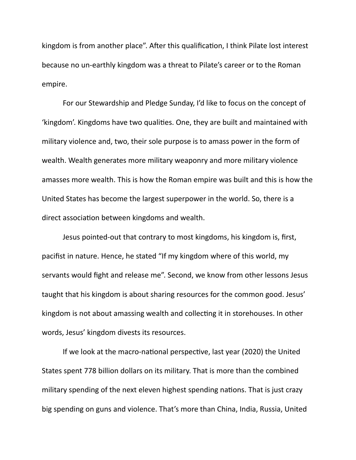kingdom is from another place". After this qualification, I think Pilate lost interest because no un-earthly kingdom was a threat to Pilate's career or to the Roman empire.

 For our Stewardship and Pledge Sunday, I'd like to focus on the concept of 'kingdom'. Kingdoms have two qualities. One, they are built and maintained with military violence and, two, their sole purpose is to amass power in the form of wealth. Wealth generates more military weaponry and more military violence amasses more wealth. This is how the Roman empire was built and this is how the United States has become the largest superpower in the world. So, there is a direct association between kingdoms and wealth.

 Jesus pointed-out that contrary to most kingdoms, his kingdom is, first, pacifist in nature. Hence, he stated "If my kingdom where of this world, my servants would fight and release me". Second, we know from other lessons Jesus taught that his kingdom is about sharing resources for the common good. Jesus' kingdom is not about amassing wealth and collecting it in storehouses. In other words, Jesus' kingdom divests its resources.

If we look at the macro-national perspective, last year (2020) the United States spent 778 billion dollars on its military. That is more than the combined military spending of the next eleven highest spending nations. That is just crazy big spending on guns and violence. That's more than China, India, Russia, United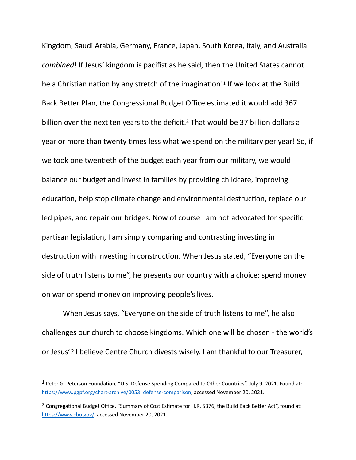<span id="page-3-3"></span><span id="page-3-2"></span>Kingdom, Saudi Arabia, Germany, France, Japan, South Korea, Italy, and Australia *combined*! If Jesus' kingdom is pacifist as he said, then the United States cannot bea Christian nation by any stretch of the imagination!<sup>[1](#page-3-0)</sup> If we look at the Build Back Better Plan, the Congressional Budget Office estimated it would add 367 billion over the next ten years to the deficit.<sup>[2](#page-3-1)</sup> That would be 37 billion dollars a year or more than twenty times less what we spend on the military per year! So, if we took one twentieth of the budget each year from our military, we would balance our budget and invest in families by providing childcare, improving education, help stop climate change and environmental destruction, replace our led pipes, and repair our bridges. Now of course I am not advocated for specific partisan legislation, I am simply comparing and contrasting investing in destruction with investing in construction. When Jesus stated, "Everyone on the side of truth listens to me", he presents our country with a choice: spend money on war or spend money on improving people's lives.

When Jesus says, "Everyone on the side of truth listens to me", he also challenges our church to choose kingdoms. Which one will be chosen - the world's or Jesus'? I believe Centre Church divests wisely. I am thankful to our Treasurer,

<span id="page-3-0"></span><sup>&</sup>lt;sup>1</sup>Peter G. Peterson Foundation, "U.S. Defense Spending Compared to Other Countries", July 9, 202[1](#page-3-2). Found at: https://www.pgpf.org/chart-archive/0053\_defense-comparison, accessed November 20, 2021.

<span id="page-3-1"></span><sup>&</sup>lt;sup>2</sup>Congregational Budget Office, "Summary of Cost Estimate for H.R. 5376, the Build Back Better Act", found at: https://www.cbo.gov/, accessed November 20, 2021.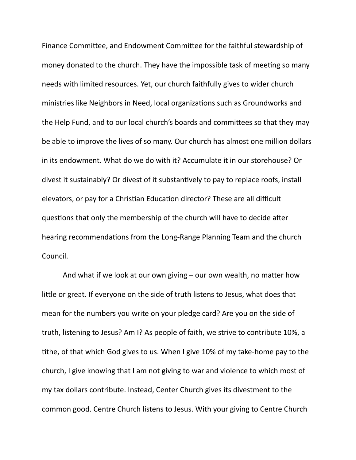Finance Committee, and Endowment Committee for the faithful stewardship of money donated to the church. They have the impossible task of meeting so many needs with limited resources. Yet, our church faithfully gives to wider church ministries like Neighbors in Need, local organizations such as Groundworks and the Help Fund, and to our local church's boards and committees so that they may be able to improve the lives of so many. Our church has almost one million dollars in its endowment. What do we do with it? Accumulate it in our storehouse? Or divest it sustainably? Or divest of it substantively to pay to replace roofs, install elevators, or pay for a Christian Education director? These are all difficult questions that only the membership of the church will have to decide after hearing recommendations from the Long-Range Planning Team and the church Council.

And what if we look at our own giving  $-$  our own wealth, no matter how little or great. If everyone on the side of truth listens to Jesus, what does that mean for the numbers you write on your pledge card? Are you on the side of truth, listening to Jesus? Am I? As people of faith, we strive to contribute 10%, a tithe, of that which God gives to us. When I give 10% of my take-home pay to the church, I give knowing that I am not giving to war and violence to which most of my tax dollars contribute. Instead, Center Church gives its divestment to the common good. Centre Church listens to Jesus. With your giving to Centre Church